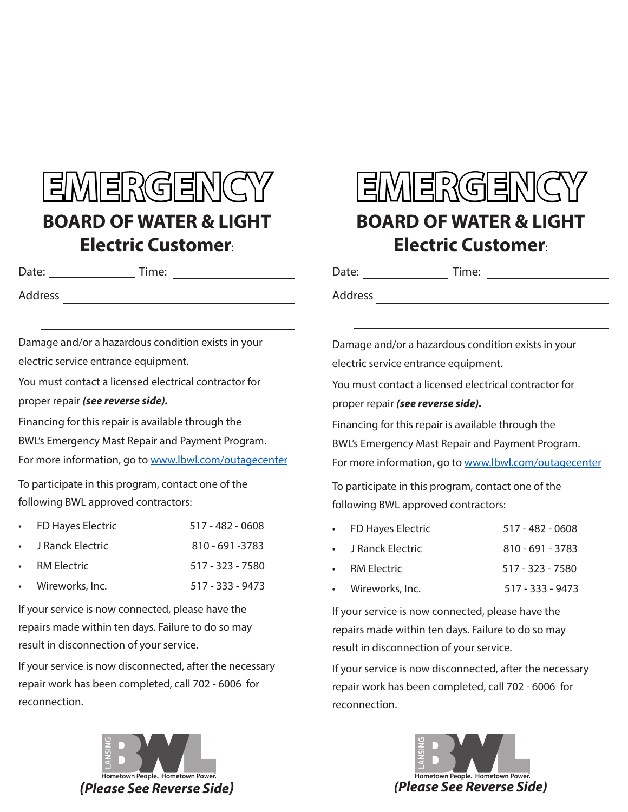## EMERGENCY **BOARD OF WATER & LIGHT Electric Customer**:

Date: Time:

Address

Damage and/or a hazardous condition exists in your electric service entrance equipment.

You must contact a licensed electrical contractor for proper repair *(see reverse side).*

Financing for this repair is available through the BWL's Emergency Mast Repair and Payment Program. For more information, go to www.lbwl.com/outagecenter

To participate in this program, contact one of the following BWL approved contractors:

|                       | • FD Hayes Electric | 517 - 482 - 0608   |
|-----------------------|---------------------|--------------------|
| $\bullet$ . $\bullet$ | J Ranck Electric    | 810 - 691 - 3783   |
|                       | <b>RM Electric</b>  | 517 - 323 - 7580   |
|                       | • Wireworks, Inc.   | $517 - 333 - 9473$ |
|                       |                     |                    |

If your service is now connected, please have the repairs made within ten days. Failure to do so may result in disconnection of your service.

If your service is now disconnected, after the necessary repair work has been completed, call 702 - 6006 for reconnection.



## **EMERGENCY BOARD OF WATER & LIGHT Electric Customer**:

Date: Time:

Address and the contract of the contract of the contract of the contract of the contract of the contract of the contract of the contract of the contract of the contract of the contract of the contract of the contract of th

Damage and/or a hazardous condition exists in your electric service entrance equipment.

You must contact a licensed electrical contractor for proper repair *(see reverse side).*

Financing for this repair is available through the BWL's Emergency Mast Repair and Payment Program. For more information, go to www.lbwl.com/outagecenter

To participate in this program, contact one of the following BWL approved contractors:

| • FD Hayes Electric | $517 - 482 - 0608$ |
|---------------------|--------------------|
| • J Ranck Electric  | $810 - 691 - 3783$ |
| • RM Electric       | 517 - 323 - 7580   |
| • Wireworks, Inc.   | $517 - 333 - 9473$ |

If your service is now connected, please have the repairs made within ten days. Failure to do so may result in disconnection of your service.

If your service is now disconnected, after the necessary repair work has been completed, call 702 - 6006 for reconnection.